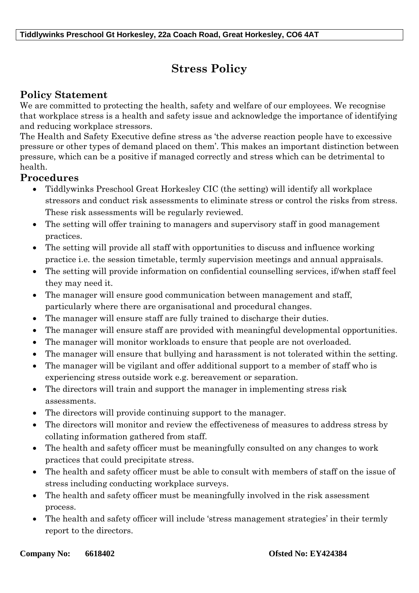## **Stress Policy**

## **Policy Statement**

We are committed to protecting the health, safety and welfare of our employees. We recognise that workplace stress is a health and safety issue and acknowledge the importance of identifying and reducing workplace stressors.

The Health and Safety Executive define stress as 'the adverse reaction people have to excessive pressure or other types of demand placed on them'. This makes an important distinction between pressure, which can be a positive if managed correctly and stress which can be detrimental to health.

## **Procedures**

- Tiddlywinks Preschool Great Horkesley CIC (the setting) will identify all workplace stressors and conduct risk assessments to eliminate stress or control the risks from stress. These risk assessments will be regularly reviewed.
- The setting will offer training to managers and supervisory staff in good management practices.
- The setting will provide all staff with opportunities to discuss and influence working practice i.e. the session timetable, termly supervision meetings and annual appraisals.
- The setting will provide information on confidential counselling services, if/when staff feel they may need it.
- The manager will ensure good communication between management and staff, particularly where there are organisational and procedural changes.
- The manager will ensure staff are fully trained to discharge their duties.
- The manager will ensure staff are provided with meaningful developmental opportunities.
- The manager will monitor workloads to ensure that people are not overloaded.
- The manager will ensure that bullying and harassment is not tolerated within the setting.
- The manager will be vigilant and offer additional support to a member of staff who is experiencing stress outside work e.g. bereavement or separation.
- The directors will train and support the manager in implementing stress risk assessments.
- The directors will provide continuing support to the manager.
- The directors will monitor and review the effectiveness of measures to address stress by collating information gathered from staff.
- The health and safety officer must be meaningfully consulted on any changes to work practices that could precipitate stress.
- The health and safety officer must be able to consult with members of staff on the issue of stress including conducting workplace surveys.
- The health and safety officer must be meaningfully involved in the risk assessment process.
- The health and safety officer will include 'stress management strategies' in their termly report to the directors.